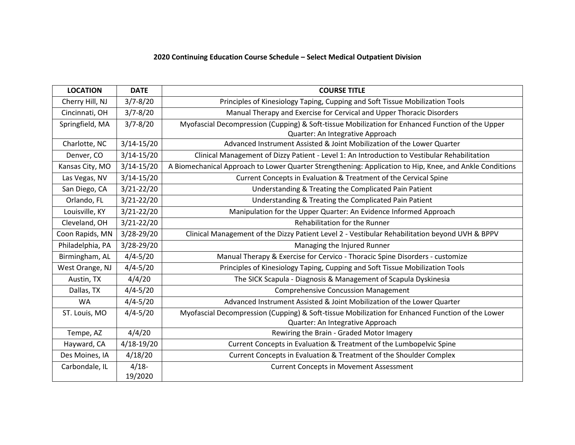# **2020 Continuing Education Course Schedule – Select Medical Outpatient Division**

| <b>LOCATION</b>  | <b>DATE</b>    | <b>COURSE TITLE</b>                                                                                     |
|------------------|----------------|---------------------------------------------------------------------------------------------------------|
| Cherry Hill, NJ  | $3/7 - 8/20$   | Principles of Kinesiology Taping, Cupping and Soft Tissue Mobilization Tools                            |
| Cincinnati, OH   | $3/7 - 8/20$   | Manual Therapy and Exercise for Cervical and Upper Thoracic Disorders                                   |
| Springfield, MA  | $3/7 - 8/20$   | Myofascial Decompression (Cupping) & Soft-tissue Mobilization for Enhanced Function of the Upper        |
|                  |                | Quarter: An Integrative Approach                                                                        |
| Charlotte, NC    | $3/14 - 15/20$ | Advanced Instrument Assisted & Joint Mobilization of the Lower Quarter                                  |
| Denver, CO       | $3/14 - 15/20$ | Clinical Management of Dizzy Patient - Level 1: An Introduction to Vestibular Rehabilitation            |
| Kansas City, MO  | $3/14 - 15/20$ | A Biomechanical Approach to Lower Quarter Strengthening: Application to Hip, Knee, and Ankle Conditions |
| Las Vegas, NV    | $3/14 - 15/20$ | Current Concepts in Evaluation & Treatment of the Cervical Spine                                        |
| San Diego, CA    | $3/21 - 22/20$ | Understanding & Treating the Complicated Pain Patient                                                   |
| Orlando, FL      | $3/21 - 22/20$ | Understanding & Treating the Complicated Pain Patient                                                   |
| Louisville, KY   | $3/21 - 22/20$ | Manipulation for the Upper Quarter: An Evidence Informed Approach                                       |
| Cleveland, OH    | $3/21 - 22/20$ | Rehabilitation for the Runner                                                                           |
| Coon Rapids, MN  | 3/28-29/20     | Clinical Management of the Dizzy Patient Level 2 - Vestibular Rehabilitation beyond UVH & BPPV          |
| Philadelphia, PA | 3/28-29/20     | Managing the Injured Runner                                                                             |
| Birmingham, AL   | $4/4 - 5/20$   | Manual Therapy & Exercise for Cervico - Thoracic Spine Disorders - customize                            |
| West Orange, NJ  | $4/4 - 5/20$   | Principles of Kinesiology Taping, Cupping and Soft Tissue Mobilization Tools                            |
| Austin, TX       | 4/4/20         | The SICK Scapula - Diagnosis & Management of Scapula Dyskinesia                                         |
| Dallas, TX       | $4/4 - 5/20$   | <b>Comprehensive Concussion Management</b>                                                              |
| <b>WA</b>        | $4/4 - 5/20$   | Advanced Instrument Assisted & Joint Mobilization of the Lower Quarter                                  |
| ST. Louis, MO    | $4/4 - 5/20$   | Myofascial Decompression (Cupping) & Soft-tissue Mobilization for Enhanced Function of the Lower        |
|                  |                | Quarter: An Integrative Approach                                                                        |
| Tempe, AZ        | 4/4/20         | Rewiring the Brain - Graded Motor Imagery                                                               |
| Hayward, CA      | $4/18 - 19/20$ | Current Concepts in Evaluation & Treatment of the Lumbopelvic Spine                                     |
| Des Moines, IA   | 4/18/20        | Current Concepts in Evaluation & Treatment of the Shoulder Complex                                      |
| Carbondale, IL   | $4/18 -$       | <b>Current Concepts in Movement Assessment</b>                                                          |
|                  | 19/2020        |                                                                                                         |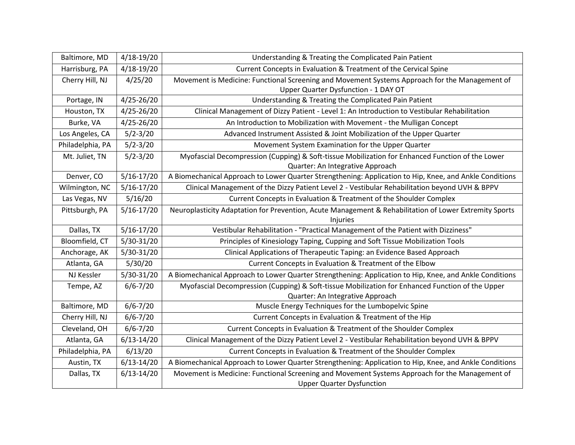| Baltimore, MD    | $4/18 - 19/20$ | Understanding & Treating the Complicated Pain Patient                                                   |
|------------------|----------------|---------------------------------------------------------------------------------------------------------|
| Harrisburg, PA   | $4/18 - 19/20$ | Current Concepts in Evaluation & Treatment of the Cervical Spine                                        |
| Cherry Hill, NJ  | 4/25/20        | Movement is Medicine: Functional Screening and Movement Systems Approach for the Management of          |
|                  |                | Upper Quarter Dysfunction - 1 DAY OT                                                                    |
| Portage, IN      | $4/25 - 26/20$ | Understanding & Treating the Complicated Pain Patient                                                   |
| Houston, TX      | $4/25 - 26/20$ | Clinical Management of Dizzy Patient - Level 1: An Introduction to Vestibular Rehabilitation            |
| Burke, VA        | $4/25 - 26/20$ | An Introduction to Mobilization with Movement - the Mulligan Concept                                    |
| Los Angeles, CA  | $5/2 - 3/20$   | Advanced Instrument Assisted & Joint Mobilization of the Upper Quarter                                  |
| Philadelphia, PA | $5/2 - 3/20$   | Movement System Examination for the Upper Quarter                                                       |
| Mt. Juliet, TN   | $5/2 - 3/20$   | Myofascial Decompression (Cupping) & Soft-tissue Mobilization for Enhanced Function of the Lower        |
|                  |                | Quarter: An Integrative Approach                                                                        |
| Denver, CO       | $5/16 - 17/20$ | A Biomechanical Approach to Lower Quarter Strengthening: Application to Hip, Knee, and Ankle Conditions |
| Wilmington, NC   | $5/16 - 17/20$ | Clinical Management of the Dizzy Patient Level 2 - Vestibular Rehabilitation beyond UVH & BPPV          |
| Las Vegas, NV    | 5/16/20        | Current Concepts in Evaluation & Treatment of the Shoulder Complex                                      |
| Pittsburgh, PA   | $5/16 - 17/20$ | Neuroplasticity Adaptation for Prevention, Acute Management & Rehabilitation of Lower Extremity Sports  |
|                  |                | Injuries                                                                                                |
| Dallas, TX       | $5/16 - 17/20$ | Vestibular Rehabilitation - "Practical Management of the Patient with Dizziness"                        |
| Bloomfield, CT   | $5/30-31/20$   | Principles of Kinesiology Taping, Cupping and Soft Tissue Mobilization Tools                            |
| Anchorage, AK    | $5/30-31/20$   | Clinical Applications of Therapeutic Taping: an Evidence Based Approach                                 |
| Atlanta, GA      | 5/30/20        | Current Concepts in Evaluation & Treatment of the Elbow                                                 |
| NJ Kessler       | $5/30-31/20$   | A Biomechanical Approach to Lower Quarter Strengthening: Application to Hip, Knee, and Ankle Conditions |
| Tempe, AZ        | $6/6 - 7/20$   | Myofascial Decompression (Cupping) & Soft-tissue Mobilization for Enhanced Function of the Upper        |
|                  |                | Quarter: An Integrative Approach                                                                        |
| Baltimore, MD    | $6/6 - 7/20$   | Muscle Energy Techniques for the Lumbopelvic Spine                                                      |
| Cherry Hill, NJ  | $6/6 - 7/20$   | Current Concepts in Evaluation & Treatment of the Hip                                                   |
| Cleveland, OH    | $6/6 - 7/20$   | Current Concepts in Evaluation & Treatment of the Shoulder Complex                                      |
| Atlanta, GA      | $6/13 - 14/20$ | Clinical Management of the Dizzy Patient Level 2 - Vestibular Rehabilitation beyond UVH & BPPV          |
| Philadelphia, PA | 6/13/20        | Current Concepts in Evaluation & Treatment of the Shoulder Complex                                      |
| Austin, TX       | $6/13 - 14/20$ | A Biomechanical Approach to Lower Quarter Strengthening: Application to Hip, Knee, and Ankle Conditions |
| Dallas, TX       | $6/13 - 14/20$ | Movement is Medicine: Functional Screening and Movement Systems Approach for the Management of          |
|                  |                | <b>Upper Quarter Dysfunction</b>                                                                        |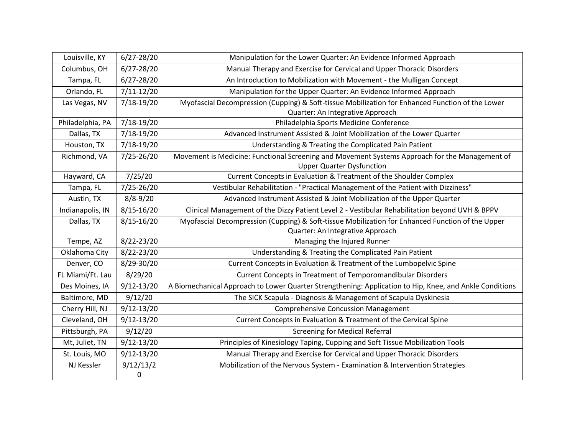| Louisville, KY   | 6/27-28/20     | Manipulation for the Lower Quarter: An Evidence Informed Approach                                       |
|------------------|----------------|---------------------------------------------------------------------------------------------------------|
| Columbus, OH     | 6/27-28/20     | Manual Therapy and Exercise for Cervical and Upper Thoracic Disorders                                   |
| Tampa, FL        | $6/27 - 28/20$ | An Introduction to Mobilization with Movement - the Mulligan Concept                                    |
| Orlando, FL      | $7/11 - 12/20$ | Manipulation for the Upper Quarter: An Evidence Informed Approach                                       |
| Las Vegas, NV    | 7/18-19/20     | Myofascial Decompression (Cupping) & Soft-tissue Mobilization for Enhanced Function of the Lower        |
|                  |                | Quarter: An Integrative Approach                                                                        |
| Philadelphia, PA | 7/18-19/20     | Philadelphia Sports Medicine Conference                                                                 |
| Dallas, TX       | 7/18-19/20     | Advanced Instrument Assisted & Joint Mobilization of the Lower Quarter                                  |
| Houston, TX      | 7/18-19/20     | Understanding & Treating the Complicated Pain Patient                                                   |
| Richmond, VA     | 7/25-26/20     | Movement is Medicine: Functional Screening and Movement Systems Approach for the Management of          |
|                  |                | <b>Upper Quarter Dysfunction</b>                                                                        |
| Hayward, CA      | 7/25/20        | Current Concepts in Evaluation & Treatment of the Shoulder Complex                                      |
| Tampa, FL        | 7/25-26/20     | Vestibular Rehabilitation - "Practical Management of the Patient with Dizziness"                        |
| Austin, TX       | $8/8 - 9/20$   | Advanced Instrument Assisted & Joint Mobilization of the Upper Quarter                                  |
| Indianapolis, IN | $8/15 - 16/20$ | Clinical Management of the Dizzy Patient Level 2 - Vestibular Rehabilitation beyond UVH & BPPV          |
| Dallas, TX       | $8/15 - 16/20$ | Myofascial Decompression (Cupping) & Soft-tissue Mobilization for Enhanced Function of the Upper        |
|                  |                | Quarter: An Integrative Approach                                                                        |
| Tempe, AZ        | 8/22-23/20     | Managing the Injured Runner                                                                             |
| Oklahoma City    | 8/22-23/20     | Understanding & Treating the Complicated Pain Patient                                                   |
| Denver, CO       | 8/29-30/20     | Current Concepts in Evaluation & Treatment of the Lumbopelvic Spine                                     |
| FL Miami/Ft. Lau | 8/29/20        | Current Concepts in Treatment of Temporomandibular Disorders                                            |
| Des Moines, IA   | $9/12 - 13/20$ | A Biomechanical Approach to Lower Quarter Strengthening: Application to Hip, Knee, and Ankle Conditions |
| Baltimore, MD    | 9/12/20        | The SICK Scapula - Diagnosis & Management of Scapula Dyskinesia                                         |
| Cherry Hill, NJ  | $9/12 - 13/20$ | <b>Comprehensive Concussion Management</b>                                                              |
| Cleveland, OH    | $9/12 - 13/20$ | Current Concepts in Evaluation & Treatment of the Cervical Spine                                        |
| Pittsburgh, PA   | 9/12/20        | <b>Screening for Medical Referral</b>                                                                   |
| Mt, Juliet, TN   | $9/12 - 13/20$ | Principles of Kinesiology Taping, Cupping and Soft Tissue Mobilization Tools                            |
| St. Louis, MO    | $9/12 - 13/20$ | Manual Therapy and Exercise for Cervical and Upper Thoracic Disorders                                   |
| NJ Kessler       | 9/12/13/2      | Mobilization of the Nervous System - Examination & Intervention Strategies                              |
|                  | 0              |                                                                                                         |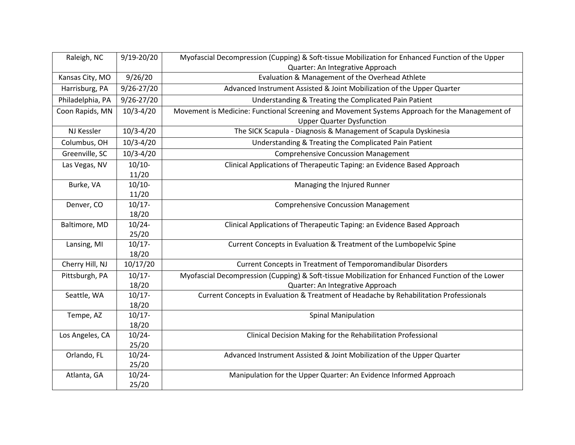| Raleigh, NC      | $9/19 - 20/20$ | Myofascial Decompression (Cupping) & Soft-tissue Mobilization for Enhanced Function of the Upper |
|------------------|----------------|--------------------------------------------------------------------------------------------------|
|                  |                | Quarter: An Integrative Approach                                                                 |
| Kansas City, MO  | 9/26/20        | Evaluation & Management of the Overhead Athlete                                                  |
| Harrisburg, PA   | $9/26 - 27/20$ | Advanced Instrument Assisted & Joint Mobilization of the Upper Quarter                           |
| Philadelphia, PA | $9/26 - 27/20$ | Understanding & Treating the Complicated Pain Patient                                            |
| Coon Rapids, MN  | $10/3 - 4/20$  | Movement is Medicine: Functional Screening and Movement Systems Approach for the Management of   |
|                  |                | <b>Upper Quarter Dysfunction</b>                                                                 |
| NJ Kessler       | $10/3 - 4/20$  | The SICK Scapula - Diagnosis & Management of Scapula Dyskinesia                                  |
| Columbus, OH     | $10/3 - 4/20$  | Understanding & Treating the Complicated Pain Patient                                            |
| Greenville, SC   | $10/3 - 4/20$  | <b>Comprehensive Concussion Management</b>                                                       |
| Las Vegas, NV    | $10/10-$       | Clinical Applications of Therapeutic Taping: an Evidence Based Approach                          |
|                  | 11/20          |                                                                                                  |
| Burke, VA        | $10/10-$       | Managing the Injured Runner                                                                      |
|                  | 11/20          |                                                                                                  |
| Denver, CO       | $10/17 -$      | <b>Comprehensive Concussion Management</b>                                                       |
|                  | 18/20          |                                                                                                  |
| Baltimore, MD    | $10/24 -$      | Clinical Applications of Therapeutic Taping: an Evidence Based Approach                          |
|                  | 25/20          |                                                                                                  |
| Lansing, MI      | $10/17 -$      | Current Concepts in Evaluation & Treatment of the Lumbopelvic Spine                              |
|                  | 18/20          |                                                                                                  |
| Cherry Hill, NJ  | 10/17/20       | Current Concepts in Treatment of Temporomandibular Disorders                                     |
| Pittsburgh, PA   | $10/17 -$      | Myofascial Decompression (Cupping) & Soft-tissue Mobilization for Enhanced Function of the Lower |
|                  | 18/20          | Quarter: An Integrative Approach                                                                 |
| Seattle, WA      | $10/17 -$      | Current Concepts in Evaluation & Treatment of Headache by Rehabilitation Professionals           |
|                  | 18/20          |                                                                                                  |
| Tempe, AZ        | $10/17 -$      | <b>Spinal Manipulation</b>                                                                       |
|                  | 18/20          |                                                                                                  |
| Los Angeles, CA  | $10/24 -$      | Clinical Decision Making for the Rehabilitation Professional                                     |
|                  | 25/20          |                                                                                                  |
| Orlando, FL      | $10/24 -$      | Advanced Instrument Assisted & Joint Mobilization of the Upper Quarter                           |
|                  | 25/20          |                                                                                                  |
| Atlanta, GA      | $10/24 -$      | Manipulation for the Upper Quarter: An Evidence Informed Approach                                |
|                  | 25/20          |                                                                                                  |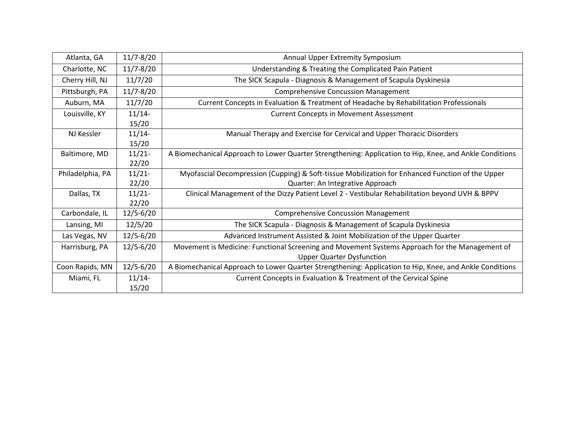| Atlanta, GA      | $11/7 - 8/20$ | Annual Upper Extremity Symposium                                                                        |
|------------------|---------------|---------------------------------------------------------------------------------------------------------|
| Charlotte, NC    | $11/7 - 8/20$ | Understanding & Treating the Complicated Pain Patient                                                   |
| Cherry Hill, NJ  | 11/7/20       | The SICK Scapula - Diagnosis & Management of Scapula Dyskinesia                                         |
| Pittsburgh, PA   | $11/7 - 8/20$ | <b>Comprehensive Concussion Management</b>                                                              |
| Auburn, MA       | 11/7/20       | Current Concepts in Evaluation & Treatment of Headache by Rehabilitation Professionals                  |
| Louisville, KY   | $11/14-$      | <b>Current Concepts in Movement Assessment</b>                                                          |
|                  | 15/20         |                                                                                                         |
| NJ Kessler       | 11/14         | Manual Therapy and Exercise for Cervical and Upper Thoracic Disorders                                   |
|                  | 15/20         |                                                                                                         |
| Baltimore, MD    | $11/21 -$     | A Biomechanical Approach to Lower Quarter Strengthening: Application to Hip, Knee, and Ankle Conditions |
|                  | 22/20         |                                                                                                         |
| Philadelphia, PA | $11/21 -$     | Myofascial Decompression (Cupping) & Soft-tissue Mobilization for Enhanced Function of the Upper        |
|                  | 22/20         | Quarter: An Integrative Approach                                                                        |
| Dallas, TX       | $11/21 -$     | Clinical Management of the Dizzy Patient Level 2 - Vestibular Rehabilitation beyond UVH & BPPV          |
|                  | 22/20         |                                                                                                         |
| Carbondale, IL   | $12/5 - 6/20$ | <b>Comprehensive Concussion Management</b>                                                              |
| Lansing, MI      | 12/5/20       | The SICK Scapula - Diagnosis & Management of Scapula Dyskinesia                                         |
| Las Vegas, NV    | $12/5 - 6/20$ | Advanced Instrument Assisted & Joint Mobilization of the Upper Quarter                                  |
| Harrisburg, PA   | $12/5 - 6/20$ | Movement is Medicine: Functional Screening and Movement Systems Approach for the Management of          |
|                  |               | <b>Upper Quarter Dysfunction</b>                                                                        |
| Coon Rapids, MN  | $12/5 - 6/20$ | A Biomechanical Approach to Lower Quarter Strengthening: Application to Hip, Knee, and Ankle Conditions |
| Miami, FL        | 11/14         | Current Concepts in Evaluation & Treatment of the Cervical Spine                                        |
|                  | 15/20         |                                                                                                         |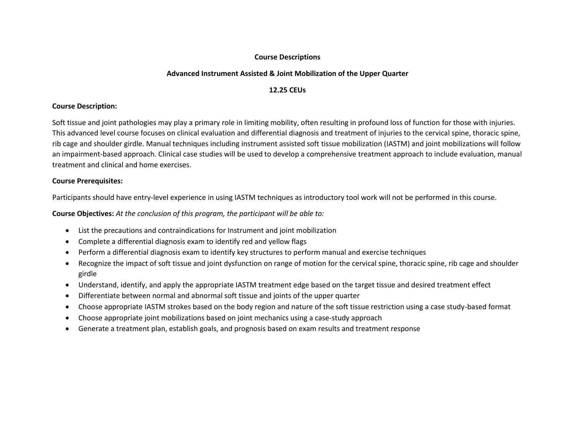## **Course Descriptions**

# **Advanced Instrument Assisted & Joint Mobilization of the Upper Quarter**

### **12.25 CEUs**

### **Course Description:**

Soft tissue and joint pathologies may play a primary role in limiting mobility, often resulting in profound loss of function for those with injuries. This advanced level course focuses on clinical evaluation and differential diagnosis and treatment of injuries to the cervical spine, thoracic spine, rib cage and shoulder girdle. Manual techniques including instrument assisted soft tissue mobilization (IASTM) and joint mobilizations will follow an impairment-based approach. Clinical case studies will be used to develop a comprehensive treatment approach to include evaluation, manual treatment and clinical and home exercises.

#### **Course Prerequisites:**

Participants should have entry-level experience in using IASTM techniques as introductory tool work will not be performed in this course.

- List the precautions and contraindications for Instrument and joint mobilization
- Complete a differential diagnosis exam to identify red and yellow flags
- Perform a differential diagnosis exam to identify key structures to perform manual and exercise techniques
- Recognize the impact of soft tissue and joint dysfunction on range of motion for the cervical spine, thoracic spine, rib cage and shoulder girdle
- Understand, identify, and apply the appropriate IASTM treatment edge based on the target tissue and desired treatment effect
- Differentiate between normal and abnormal soft tissue and joints of the upper quarter
- Choose appropriate IASTM strokes based on the body region and nature of the soft tissue restriction using a case study-based format
- Choose appropriate joint mobilizations based on joint mechanics using a case-study approach
- Generate a treatment plan, establish goals, and prognosis based on exam results and treatment response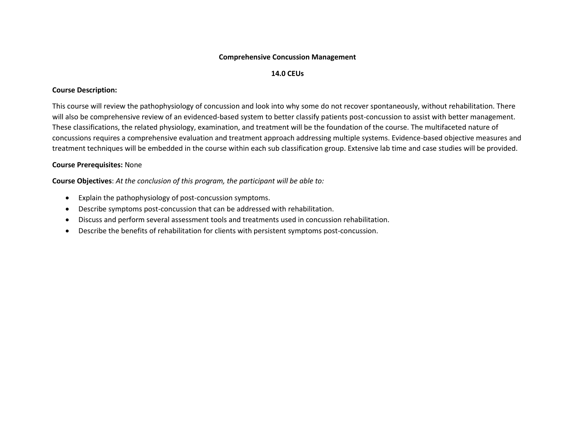#### **Comprehensive Concussion Management**

## **14.0 CEUs**

# **Course Description:**

This course will review the pathophysiology of concussion and look into why some do not recover spontaneously, without rehabilitation. There will also be comprehensive review of an evidenced-based system to better classify patients post-concussion to assist with better management. These classifications, the related physiology, examination, and treatment will be the foundation of the course. The multifaceted nature of concussions requires a comprehensive evaluation and treatment approach addressing multiple systems. Evidence-based objective measures and treatment techniques will be embedded in the course within each sub classification group. Extensive lab time and case studies will be provided.

# **Course Prerequisites:** None

- Explain the pathophysiology of post-concussion symptoms.
- Describe symptoms post-concussion that can be addressed with rehabilitation.
- Discuss and perform several assessment tools and treatments used in concussion rehabilitation.
- Describe the benefits of rehabilitation for clients with persistent symptoms post-concussion.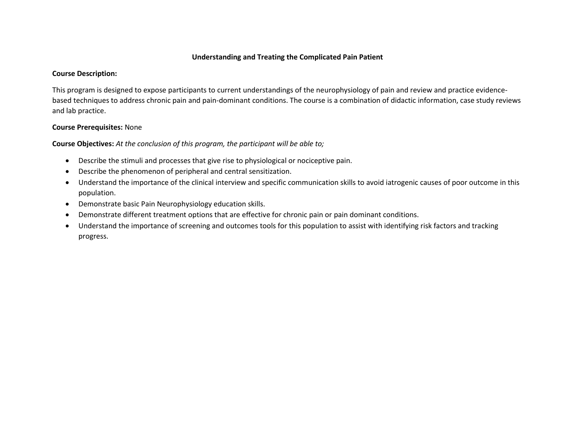# **Understanding and Treating the Complicated Pain Patient**

### **Course Description:**

This program is designed to expose participants to current understandings of the neurophysiology of pain and review and practice evidencebased techniques to address chronic pain and pain-dominant conditions. The course is a combination of didactic information, case study reviews and lab practice.

# **Course Prerequisites:** None

- Describe the stimuli and processes that give rise to physiological or nociceptive pain.
- Describe the phenomenon of peripheral and central sensitization.
- Understand the importance of the clinical interview and specific communication skills to avoid iatrogenic causes of poor outcome in this population.
- Demonstrate basic Pain Neurophysiology education skills.
- Demonstrate different treatment options that are effective for chronic pain or pain dominant conditions.
- Understand the importance of screening and outcomes tools for this population to assist with identifying risk factors and tracking progress.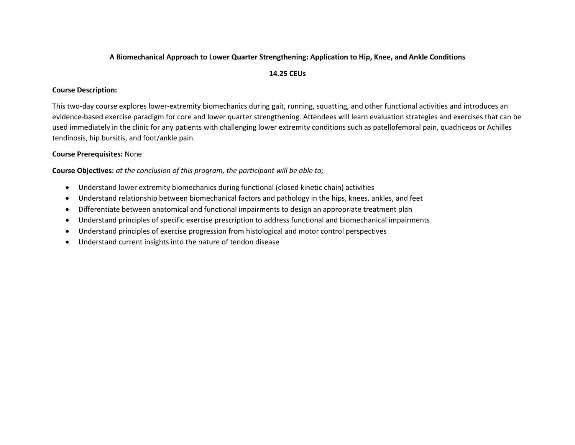## **A Biomechanical Approach to Lower Quarter Strengthening: Application to Hip, Knee, and Ankle Conditions**

# **14.25 CEUs**

# **Course Description:**

This two-day course explores lower-extremity biomechanics during gait, running, squatting, and other functional activities and introduces an evidence-based exercise paradigm for core and lower quarter strengthening. Attendees will learn evaluation strategies and exercises that can be used immediately in the clinic for any patients with challenging lower extremity conditions such as patellofemoral pain, quadriceps or Achilles tendinosis, hip bursitis, and foot/ankle pain.

# **Course Prerequisites:** None

- Understand lower extremity biomechanics during functional (closed kinetic chain) activities
- Understand relationship between biomechanical factors and pathology in the hips, knees, ankles, and feet
- Differentiate between anatomical and functional impairments to design an appropriate treatment plan
- Understand principles of specific exercise prescription to address functional and biomechanical impairments
- Understand principles of exercise progression from histological and motor control perspectives
- Understand current insights into the nature of tendon disease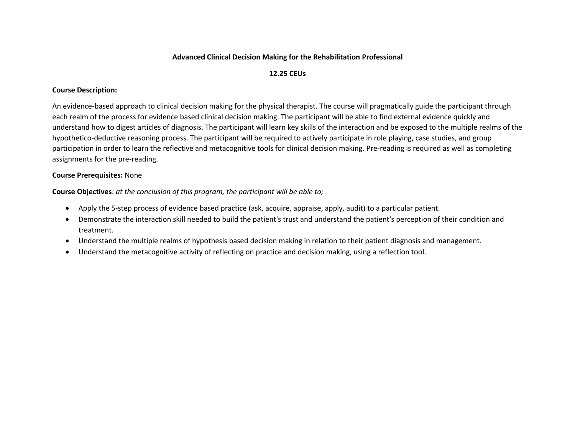## **Advanced Clinical Decision Making for the Rehabilitation Professional**

# **12.25 CEUs**

# **Course Description:**

An evidence-based approach to clinical decision making for the physical therapist. The course will pragmatically guide the participant through each realm of the process for evidence based clinical decision making. The participant will be able to find external evidence quickly and understand how to digest articles of diagnosis. The participant will learn key skills of the interaction and be exposed to the multiple realms of the hypothetico-deductive reasoning process. The participant will be required to actively participate in role playing, case studies, and group participation in order to learn the reflective and metacognitive tools for clinical decision making. Pre-reading is required as well as completing assignments for the pre-reading.

# **Course Prerequisites:** None

- Apply the 5-step process of evidence based practice (ask, acquire, appraise, apply, audit) to a particular patient.
- Demonstrate the interaction skill needed to build the patient's trust and understand the patient's perception of their condition and treatment.
- Understand the multiple realms of hypothesis based decision making in relation to their patient diagnosis and management.
- Understand the metacognitive activity of reflecting on practice and decision making, using a reflection tool.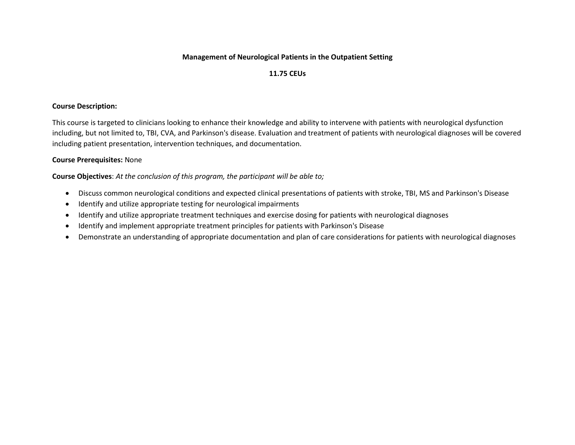# **Management of Neurological Patients in the Outpatient Setting**

# **11.75 CEUs**

### **Course Description:**

This course is targeted to clinicians looking to enhance their knowledge and ability to intervene with patients with neurological dysfunction including, but not limited to, TBI, CVA, and Parkinson's disease. Evaluation and treatment of patients with neurological diagnoses will be covered including patient presentation, intervention techniques, and documentation.

# **Course Prerequisites:** None

- Discuss common neurological conditions and expected clinical presentations of patients with stroke, TBI, MS and Parkinson's Disease
- Identify and utilize appropriate testing for neurological impairments
- Identify and utilize appropriate treatment techniques and exercise dosing for patients with neurological diagnoses
- Identify and implement appropriate treatment principles for patients with Parkinson's Disease
- Demonstrate an understanding of appropriate documentation and plan of care considerations for patients with neurological diagnoses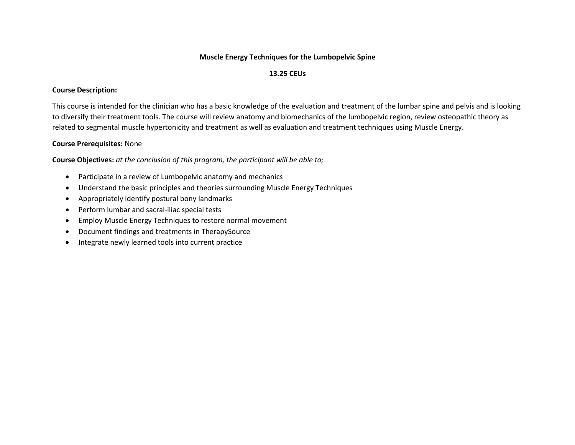# **Muscle Energy Techniques for the Lumbopelvic Spine**

# **13.25 CEUs**

# **Course Description:**

This course is intended for the clinician who has a basic knowledge of the evaluation and treatment of the lumbar spine and pelvis and is looking to diversify their treatment tools. The course will review anatomy and biomechanics of the lumbopelvic region, review osteopathic theory as related to segmental muscle hypertonicity and treatment as well as evaluation and treatment techniques using Muscle Energy.

# **Course Prerequisites:** None

- Participate in a review of Lumbopelvic anatomy and mechanics
- Understand the basic principles and theories surrounding Muscle Energy Techniques
- Appropriately identify postural bony landmarks
- Perform lumbar and sacral-iliac special tests
- Employ Muscle Energy Techniques to restore normal movement
- Document findings and treatments in TherapySource
- Integrate newly learned tools into current practice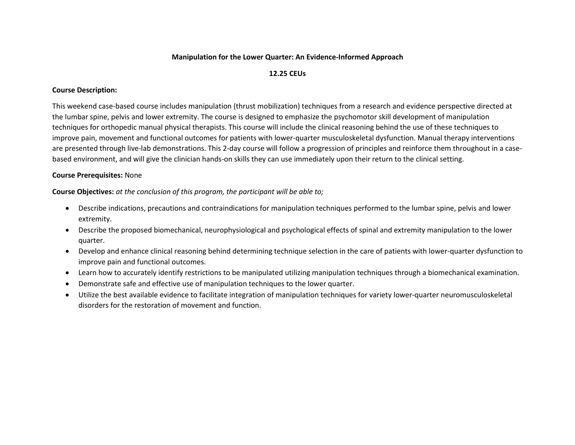### **Manipulation for the Lower Quarter: An Evidence-Informed Approach**

# **12.25 CEUs**

# **Course Description:**

This weekend case-based course includes manipulation (thrust mobilization) techniques from a research and evidence perspective directed at the lumbar spine, pelvis and lower extremity. The course is designed to emphasize the psychomotor skill development of manipulation techniques for orthopedic manual physical therapists. This course will include the clinical reasoning behind the use of these techniques to improve pain, movement and functional outcomes for patients with lower-quarter musculoskeletal dysfunction. Manual therapy interventions are presented through live-lab demonstrations. This 2-day course will follow a progression of principles and reinforce them throughout in a casebased environment, and will give the clinician hands-on skills they can use immediately upon their return to the clinical setting.

# **Course Prerequisites:** None

- Describe indications, precautions and contraindications for manipulation techniques performed to the lumbar spine, pelvis and lower extremity.
- Describe the proposed biomechanical, neurophysiological and psychological effects of spinal and extremity manipulation to the lower quarter.
- Develop and enhance clinical reasoning behind determining technique selection in the care of patients with lower-quarter dysfunction to improve pain and functional outcomes.
- Learn how to accurately identify restrictions to be manipulated utilizing manipulation techniques through a biomechanical examination.
- Demonstrate safe and effective use of manipulation techniques to the lower quarter.
- Utilize the best available evidence to facilitate integration of manipulation techniques for variety lower-quarter neuromusculoskeletal disorders for the restoration of movement and function.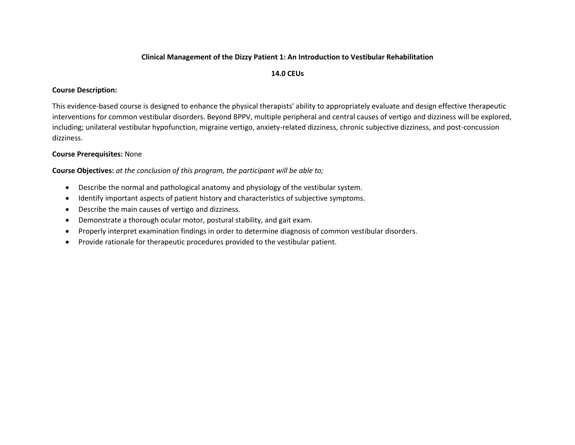### **Clinical Management of the Dizzy Patient 1: An Introduction to Vestibular Rehabilitation**

#### **14.0 CEUs**

## **Course Description:**

This evidence-based course is designed to enhance the physical therapists' ability to appropriately evaluate and design effective therapeutic interventions for common vestibular disorders. Beyond BPPV, multiple peripheral and central causes of vertigo and dizziness will be explored, including; unilateral vestibular hypofunction, migraine vertigo, anxiety-related dizziness, chronic subjective dizziness, and post-concussion dizziness.

# **Course Prerequisites:** None

- Describe the normal and pathological anatomy and physiology of the vestibular system.
- Identify important aspects of patient history and characteristics of subjective symptoms.
- Describe the main causes of vertigo and dizziness.
- Demonstrate a thorough ocular motor, postural stability, and gait exam.
- Properly interpret examination findings in order to determine diagnosis of common vestibular disorders.
- Provide rationale for therapeutic procedures provided to the vestibular patient.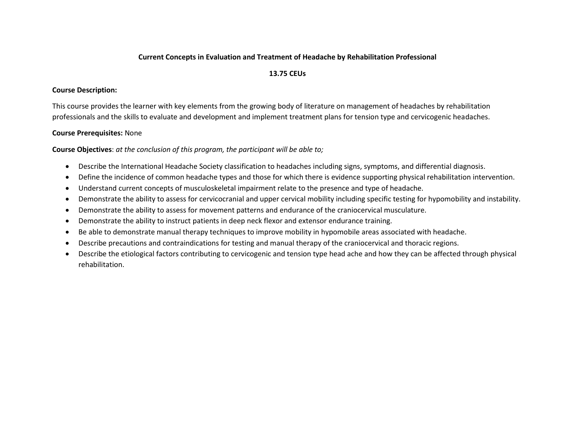# **Current Concepts in Evaluation and Treatment of Headache by Rehabilitation Professional**

# **13.75 CEUs**

## **Course Description:**

This course provides the learner with key elements from the growing body of literature on management of headaches by rehabilitation professionals and the skills to evaluate and development and implement treatment plans for tension type and cervicogenic headaches.

# **Course Prerequisites:** None

- Describe the International Headache Society classification to headaches including signs, symptoms, and differential diagnosis.
- Define the incidence of common headache types and those for which there is evidence supporting physical rehabilitation intervention.
- Understand current concepts of musculoskeletal impairment relate to the presence and type of headache.
- Demonstrate the ability to assess for cervicocranial and upper cervical mobility including specific testing for hypomobility and instability.
- Demonstrate the ability to assess for movement patterns and endurance of the craniocervical musculature.
- Demonstrate the ability to instruct patients in deep neck flexor and extensor endurance training.
- Be able to demonstrate manual therapy techniques to improve mobility in hypomobile areas associated with headache.
- Describe precautions and contraindications for testing and manual therapy of the craniocervical and thoracic regions.
- Describe the etiological factors contributing to cervicogenic and tension type head ache and how they can be affected through physical rehabilitation.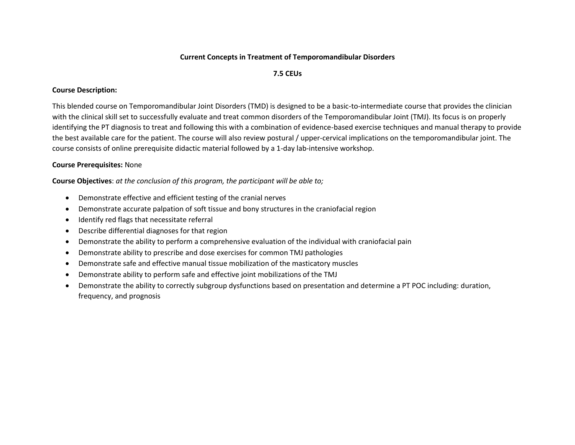### **Current Concepts in Treatment of Temporomandibular Disorders**

### **7.5 CEUs**

# **Course Description:**

This blended course on Temporomandibular Joint Disorders (TMD) is designed to be a basic-to-intermediate course that provides the clinician with the clinical skill set to successfully evaluate and treat common disorders of the Temporomandibular Joint (TMJ). Its focus is on properly identifying the PT diagnosis to treat and following this with a combination of evidence-based exercise techniques and manual therapy to provide the best available care for the patient. The course will also review postural / upper-cervical implications on the temporomandibular joint. The course consists of online prerequisite didactic material followed by a 1-day lab-intensive workshop.

# **Course Prerequisites:** None

- Demonstrate effective and efficient testing of the cranial nerves
- Demonstrate accurate palpation of soft tissue and bony structures in the craniofacial region
- Identify red flags that necessitate referral
- Describe differential diagnoses for that region
- Demonstrate the ability to perform a comprehensive evaluation of the individual with craniofacial pain
- Demonstrate ability to prescribe and dose exercises for common TMJ pathologies
- Demonstrate safe and effective manual tissue mobilization of the masticatory muscles
- Demonstrate ability to perform safe and effective joint mobilizations of the TMJ
- Demonstrate the ability to correctly subgroup dysfunctions based on presentation and determine a PT POC including: duration, frequency, and prognosis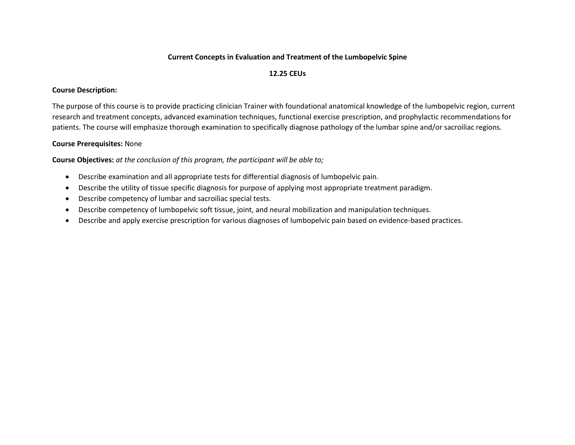## **Current Concepts in Evaluation and Treatment of the Lumbopelvic Spine**

# **12.25 CEUs**

# **Course Description:**

The purpose of this course is to provide practicing clinician Trainer with foundational anatomical knowledge of the lumbopelvic region, current research and treatment concepts, advanced examination techniques, functional exercise prescription, and prophylactic recommendations for patients. The course will emphasize thorough examination to specifically diagnose pathology of the lumbar spine and/or sacroiliac regions.

# **Course Prerequisites:** None

- Describe examination and all appropriate tests for differential diagnosis of lumbopelvic pain.
- Describe the utility of tissue specific diagnosis for purpose of applying most appropriate treatment paradigm.
- Describe competency of lumbar and sacroiliac special tests.
- Describe competency of lumbopelvic soft tissue, joint, and neural mobilization and manipulation techniques.
- Describe and apply exercise prescription for various diagnoses of lumbopelvic pain based on evidence-based practices.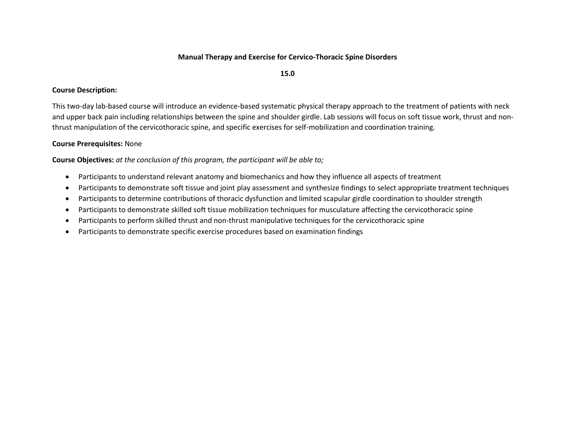### **Manual Therapy and Exercise for Cervico-Thoracic Spine Disorders**

**15.0**

#### **Course Description:**

This two-day lab-based course will introduce an evidence-based systematic physical therapy approach to the treatment of patients with neck and upper back pain including relationships between the spine and shoulder girdle. Lab sessions will focus on soft tissue work, thrust and nonthrust manipulation of the cervicothoracic spine, and specific exercises for self-mobilization and coordination training.

#### **Course Prerequisites:** None

- Participants to understand relevant anatomy and biomechanics and how they influence all aspects of treatment
- Participants to demonstrate soft tissue and joint play assessment and synthesize findings to select appropriate treatment techniques
- Participants to determine contributions of thoracic dysfunction and limited scapular girdle coordination to shoulder strength
- Participants to demonstrate skilled soft tissue mobilization techniques for musculature affecting the cervicothoracic spine
- Participants to perform skilled thrust and non-thrust manipulative techniques for the cervicothoracic spine
- Participants to demonstrate specific exercise procedures based on examination findings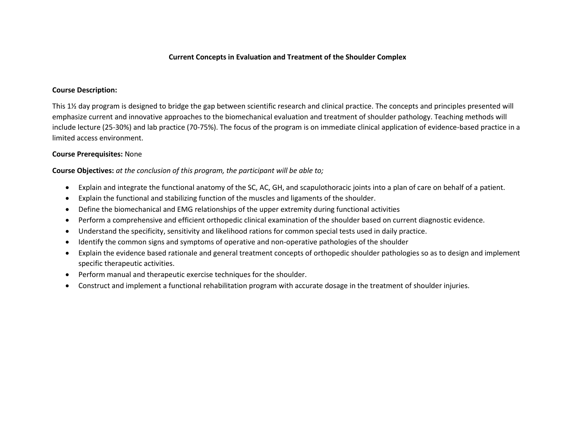### **Current Concepts in Evaluation and Treatment of the Shoulder Complex**

#### **Course Description:**

This 1½ day program is designed to bridge the gap between scientific research and clinical practice. The concepts and principles presented will emphasize current and innovative approaches to the biomechanical evaluation and treatment of shoulder pathology. Teaching methods will include lecture (25-30%) and lab practice (70-75%). The focus of the program is on immediate clinical application of evidence-based practice in a limited access environment.

### **Course Prerequisites:** None

- Explain and integrate the functional anatomy of the SC, AC, GH, and scapulothoracic joints into a plan of care on behalf of a patient.
- Explain the functional and stabilizing function of the muscles and ligaments of the shoulder.
- Define the biomechanical and EMG relationships of the upper extremity during functional activities
- Perform a comprehensive and efficient orthopedic clinical examination of the shoulder based on current diagnostic evidence.
- Understand the specificity, sensitivity and likelihood rations for common special tests used in daily practice.
- Identify the common signs and symptoms of operative and non-operative pathologies of the shoulder
- Explain the evidence based rationale and general treatment concepts of orthopedic shoulder pathologies so as to design and implement specific therapeutic activities.
- Perform manual and therapeutic exercise techniques for the shoulder.
- Construct and implement a functional rehabilitation program with accurate dosage in the treatment of shoulder injuries.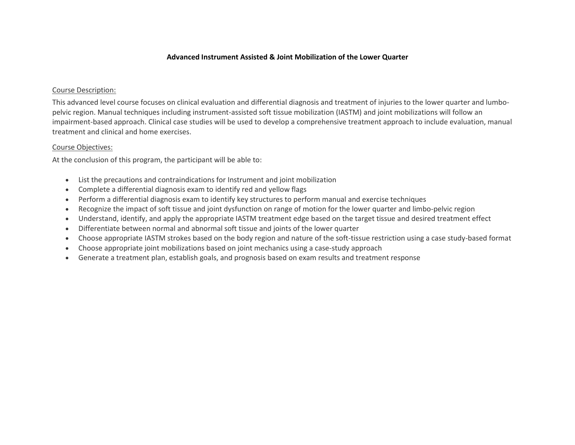## **Advanced Instrument Assisted & Joint Mobilization of the Lower Quarter**

## Course Description:

This advanced level course focuses on clinical evaluation and differential diagnosis and treatment of injuries to the lower quarter and lumbopelvic region. Manual techniques including instrument-assisted soft tissue mobilization (IASTM) and joint mobilizations will follow an impairment-based approach. Clinical case studies will be used to develop a comprehensive treatment approach to include evaluation, manual treatment and clinical and home exercises.

# Course Objectives:

At the conclusion of this program, the participant will be able to:

- List the precautions and contraindications for Instrument and joint mobilization
- Complete a differential diagnosis exam to identify red and yellow flags
- Perform a differential diagnosis exam to identify key structures to perform manual and exercise techniques
- Recognize the impact of soft tissue and joint dysfunction on range of motion for the lower quarter and limbo-pelvic region
- Understand, identify, and apply the appropriate IASTM treatment edge based on the target tissue and desired treatment effect
- Differentiate between normal and abnormal soft tissue and joints of the lower quarter
- Choose appropriate IASTM strokes based on the body region and nature of the soft-tissue restriction using a case study-based format
- Choose appropriate joint mobilizations based on joint mechanics using a case-study approach
- Generate a treatment plan, establish goals, and prognosis based on exam results and treatment response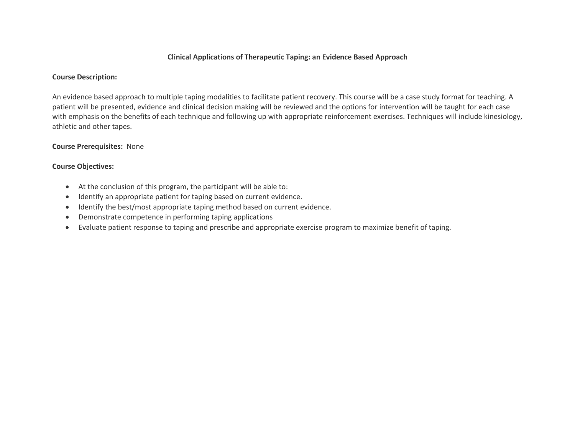# **Clinical Applications of Therapeutic Taping: an Evidence Based Approach**

### **Course Description:**

An evidence based approach to multiple taping modalities to facilitate patient recovery. This course will be a case study format for teaching. A patient will be presented, evidence and clinical decision making will be reviewed and the options for intervention will be taught for each case with emphasis on the benefits of each technique and following up with appropriate reinforcement exercises. Techniques will include kinesiology, athletic and other tapes.

# **Course Prerequisites:** None

# **Course Objectives:**

- At the conclusion of this program, the participant will be able to:
- $\bullet$  Identify an appropriate patient for taping based on current evidence.
- Identify the best/most appropriate taping method based on current evidence.
- Demonstrate competence in performing taping applications
- Evaluate patient response to taping and prescribe and appropriate exercise program to maximize benefit of taping.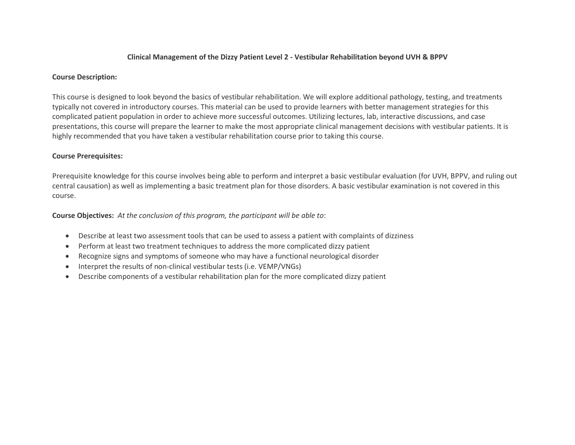## **Clinical Management of the Dizzy Patient Level 2 - Vestibular Rehabilitation beyond UVH & BPPV**

### **Course Description:**

This course is designed to look beyond the basics of vestibular rehabilitation. We will explore additional pathology, testing, and treatments typically not covered in introductory courses. This material can be used to provide learners with better management strategies for this complicated patient population in order to achieve more successful outcomes. Utilizing lectures, lab, interactive discussions, and case presentations, this course will prepare the learner to make the most appropriate clinical management decisions with vestibular patients. It is highly recommended that you have taken a vestibular rehabilitation course prior to taking this course.

# **Course Prerequisites:**

Prerequisite knowledge for this course involves being able to perform and interpret a basic vestibular evaluation (for UVH, BPPV, and ruling out central causation) as well as implementing a basic treatment plan for those disorders. A basic vestibular examination is not covered in this course.

- Describe at least two assessment tools that can be used to assess a patient with complaints of dizziness
- Perform at least two treatment techniques to address the more complicated dizzy patient
- Recognize signs and symptoms of someone who may have a functional neurological disorder
- Interpret the results of non-clinical vestibular tests (i.e. VEMP/VNGs)
- Describe components of a vestibular rehabilitation plan for the more complicated dizzy patient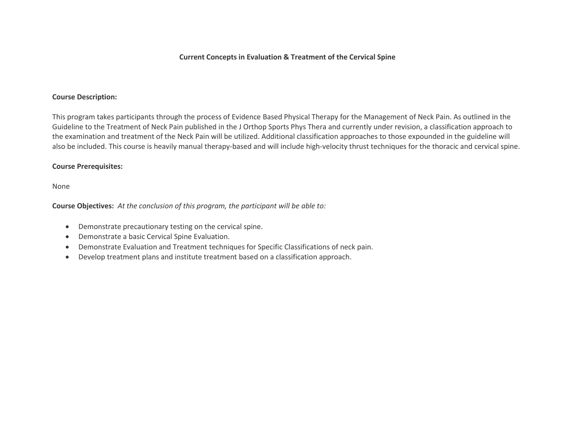### **Current Concepts in Evaluation & Treatment of the Cervical Spine**

#### **Course Description:**

This program takes participants through the process of Evidence Based Physical Therapy for the Management of Neck Pain. As outlined in the Guideline to the Treatment of Neck Pain published in the J Orthop Sports Phys Thera and currently under revision, a classification approach to the examination and treatment of the Neck Pain will be utilized. Additional classification approaches to those expounded in the guideline will also be included. This course is heavily manual therapy-based and will include high-velocity thrust techniques for the thoracic and cervical spine.

#### **Course Prerequisites:**

None

- Demonstrate precautionary testing on the cervical spine.
- Demonstrate a basic Cervical Spine Evaluation.
- Demonstrate Evaluation and Treatment techniques for Specific Classifications of neck pain.
- Develop treatment plans and institute treatment based on a classification approach.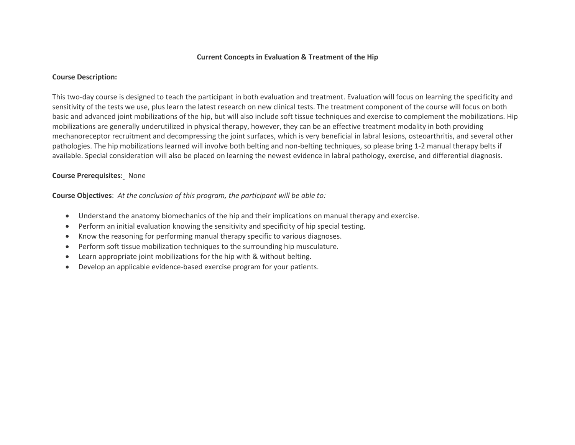### **Current Concepts in Evaluation & Treatment of the Hip**

#### **Course Description:**

This two-day course is designed to teach the participant in both evaluation and treatment. Evaluation will focus on learning the specificity and sensitivity of the tests we use, plus learn the latest research on new clinical tests. The treatment component of the course will focus on both basic and advanced joint mobilizations of the hip, but will also include soft tissue techniques and exercise to complement the mobilizations. Hip mobilizations are generally underutilized in physical therapy, however, they can be an effective treatment modality in both providing mechanoreceptor recruitment and decompressing the joint surfaces, which is very beneficial in labral lesions, osteoarthritis, and several other pathologies. The hip mobilizations learned will involve both belting and non-belting techniques, so please bring 1-2 manual therapy belts if available. Special consideration will also be placed on learning the newest evidence in labral pathology, exercise, and differential diagnosis.

### **Course Prerequisites:** None

- Understand the anatomy biomechanics of the hip and their implications on manual therapy and exercise.
- Perform an initial evaluation knowing the sensitivity and specificity of hip special testing.
- Know the reasoning for performing manual therapy specific to various diagnoses.
- Perform soft tissue mobilization techniques to the surrounding hip musculature.
- Learn appropriate joint mobilizations for the hip with & without belting.
- Develop an applicable evidence-based exercise program for your patients.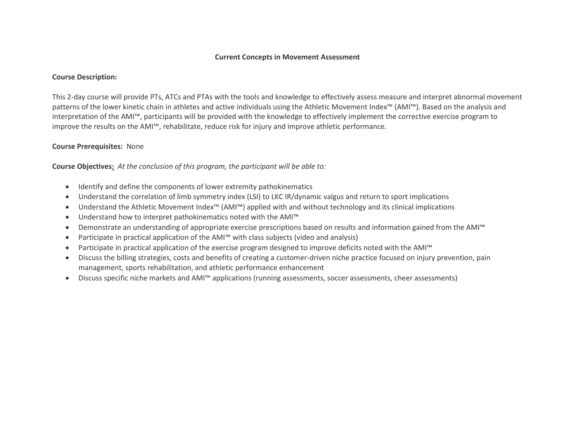#### **Current Concepts in Movement Assessment**

#### **Course Description:**

This 2-day course will provide PTs, ATCs and PTAs with the tools and knowledge to effectively assess measure and interpret abnormal movement patterns of the lower kinetic chain in athletes and active individuals using the Athletic Movement Index™ (AMI™). Based on the analysis and interpretation of the AMI™, participants will be provided with the knowledge to effectively implement the corrective exercise program to improve the results on the AMI™, rehabilitate, reduce risk for injury and improve athletic performance.

### **Course Prerequisites:** None

- Identify and define the components of lower extremity pathokinematics
- Understand the correlation of limb symmetry index (LSI) to LKC IR/dynamic valgus and return to sport implications
- Understand the Athletic Movement Index™ (AMI™) applied with and without technology and its clinical implications
- Understand how to interpret pathokinematics noted with the AMI™
- Demonstrate an understanding of appropriate exercise prescriptions based on results and information gained from the AMI™
- Participate in practical application of the AMI™ with class subjects (video and analysis)
- Participate in practical application of the exercise program designed to improve deficits noted with the AMI™
- Discuss the billing strategies, costs and benefits of creating a customer-driven niche practice focused on injury prevention, pain management, sports rehabilitation, and athletic performance enhancement
- Discuss specific niche markets and AMI™ applications (running assessments, soccer assessments, cheer assessments)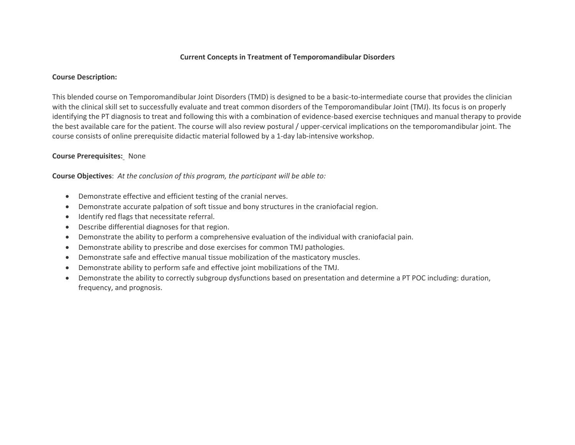### **Current Concepts in Treatment of Temporomandibular Disorders**

#### **Course Description:**

This blended course on Temporomandibular Joint Disorders (TMD) is designed to be a basic-to-intermediate course that provides the clinician with the clinical skill set to successfully evaluate and treat common disorders of the Temporomandibular Joint (TMJ). Its focus is on properly identifying the PT diagnosis to treat and following this with a combination of evidence-based exercise techniques and manual therapy to provide the best available care for the patient. The course will also review postural / upper-cervical implications on the temporomandibular joint. The course consists of online prerequisite didactic material followed by a 1-day lab-intensive workshop.

#### **Course Prerequisites:** None

- Demonstrate effective and efficient testing of the cranial nerves.
- Demonstrate accurate palpation of soft tissue and bony structures in the craniofacial region.
- Identify red flags that necessitate referral.
- Describe differential diagnoses for that region.
- Demonstrate the ability to perform a comprehensive evaluation of the individual with craniofacial pain.
- Demonstrate ability to prescribe and dose exercises for common TMJ pathologies.
- Demonstrate safe and effective manual tissue mobilization of the masticatory muscles.
- Demonstrate ability to perform safe and effective joint mobilizations of the TMJ.
- Demonstrate the ability to correctly subgroup dysfunctions based on presentation and determine a PT POC including: duration, frequency, and prognosis.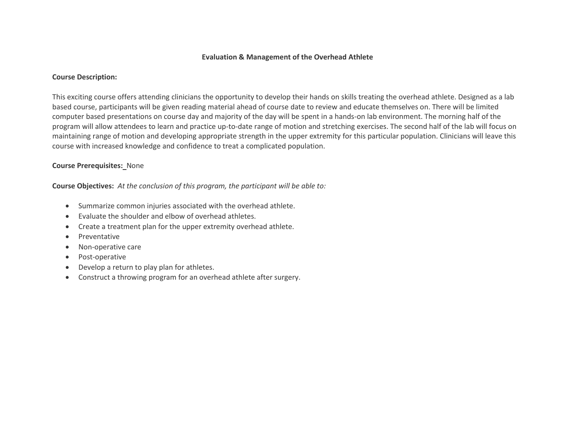### **Evaluation & Management of the Overhead Athlete**

#### **Course Description:**

This exciting course offers attending clinicians the opportunity to develop their hands on skills treating the overhead athlete. Designed as a lab based course, participants will be given reading material ahead of course date to review and educate themselves on. There will be limited computer based presentations on course day and majority of the day will be spent in a hands-on lab environment. The morning half of the program will allow attendees to learn and practice up-to-date range of motion and stretching exercises. The second half of the lab will focus on maintaining range of motion and developing appropriate strength in the upper extremity for this particular population. Clinicians will leave this course with increased knowledge and confidence to treat a complicated population.

# **Course Prerequisites:** None

- Summarize common injuries associated with the overhead athlete.
- Evaluate the shoulder and elbow of overhead athletes.
- Create a treatment plan for the upper extremity overhead athlete.
- Preventative
- Non-operative care
- Post-operative
- Develop a return to play plan for athletes.
- Construct a throwing program for an overhead athlete after surgery.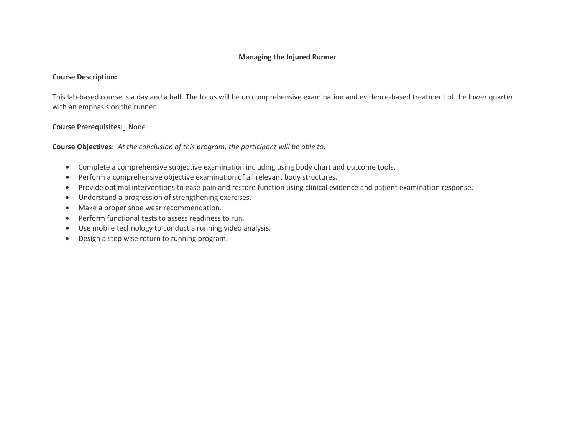## **Managing the Injured Runner**

#### **Course Description:**

This lab-based course is a day and a half. The focus will be on comprehensive examination and evidence-based treatment of the lower quarter with an emphasis on the runner.

# **Course Prerequisites:** None

- Complete a comprehensive subjective examination including using body chart and outcome tools.
- Perform a comprehensive objective examination of all relevant body structures.
- Provide optimal interventions to ease pain and restore function using clinical evidence and patient examination response.
- Understand a progression of strengthening exercises.
- Make a proper shoe wear recommendation.
- Perform functional tests to assess readiness to run.
- Use mobile technology to conduct a running video analysis.
- Design a step wise return to running program.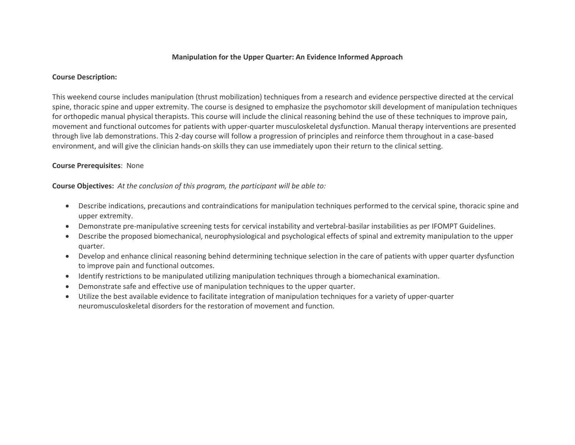## **Manipulation for the Upper Quarter: An Evidence Informed Approach**

#### **Course Description:**

This weekend course includes manipulation (thrust mobilization) techniques from a research and evidence perspective directed at the cervical spine, thoracic spine and upper extremity. The course is designed to emphasize the psychomotor skill development of manipulation techniques for orthopedic manual physical therapists. This course will include the clinical reasoning behind the use of these techniques to improve pain, movement and functional outcomes for patients with upper-quarter musculoskeletal dysfunction. Manual therapy interventions are presented through live lab demonstrations. This 2-day course will follow a progression of principles and reinforce them throughout in a case-based environment, and will give the clinician hands-on skills they can use immediately upon their return to the clinical setting.

### **Course Prerequisites**: None

- Describe indications, precautions and contraindications for manipulation techniques performed to the cervical spine, thoracic spine and upper extremity.
- Demonstrate pre-manipulative screening tests for cervical instability and vertebral-basilar instabilities as per IFOMPT Guidelines.
- Describe the proposed biomechanical, neurophysiological and psychological effects of spinal and extremity manipulation to the upper quarter.
- Develop and enhance clinical reasoning behind determining technique selection in the care of patients with upper quarter dysfunction to improve pain and functional outcomes.
- Identify restrictions to be manipulated utilizing manipulation techniques through a biomechanical examination.
- Demonstrate safe and effective use of manipulation techniques to the upper quarter.
- Utilize the best available evidence to facilitate integration of manipulation techniques for a variety of upper-quarter neuromusculoskeletal disorders for the restoration of movement and function.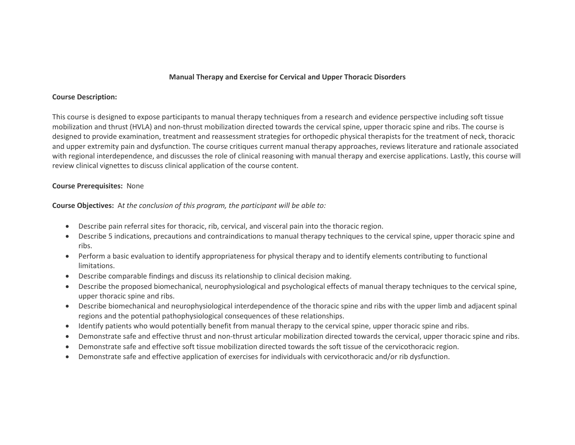## **Manual Therapy and Exercise for Cervical and Upper Thoracic Disorders**

#### **Course Description:**

This course is designed to expose participants to manual therapy techniques from a research and evidence perspective including soft tissue mobilization and thrust (HVLA) and non-thrust mobilization directed towards the cervical spine, upper thoracic spine and ribs. The course is designed to provide examination, treatment and reassessment strategies for orthopedic physical therapists for the treatment of neck, thoracic and upper extremity pain and dysfunction. The course critiques current manual therapy approaches, reviews literature and rationale associated with regional interdependence, and discusses the role of clinical reasoning with manual therapy and exercise applications. Lastly, this course will review clinical vignettes to discuss clinical application of the course content.

### **Course Prerequisites:** None

- Describe pain referral sites for thoracic, rib, cervical, and visceral pain into the thoracic region.
- Describe 5 indications, precautions and contraindications to manual therapy techniques to the cervical spine, upper thoracic spine and ribs.
- Perform a basic evaluation to identify appropriateness for physical therapy and to identify elements contributing to functional limitations.
- Describe comparable findings and discuss its relationship to clinical decision making.
- Describe the proposed biomechanical, neurophysiological and psychological effects of manual therapy techniques to the cervical spine, upper thoracic spine and ribs.
- Describe biomechanical and neurophysiological interdependence of the thoracic spine and ribs with the upper limb and adjacent spinal regions and the potential pathophysiological consequences of these relationships.
- Identify patients who would potentially benefit from manual therapy to the cervical spine, upper thoracic spine and ribs.
- Demonstrate safe and effective thrust and non-thrust articular mobilization directed towards the cervical, upper thoracic spine and ribs.
- Demonstrate safe and effective soft tissue mobilization directed towards the soft tissue of the cervicothoracic region.
- Demonstrate safe and effective application of exercises for individuals with cervicothoracic and/or rib dysfunction.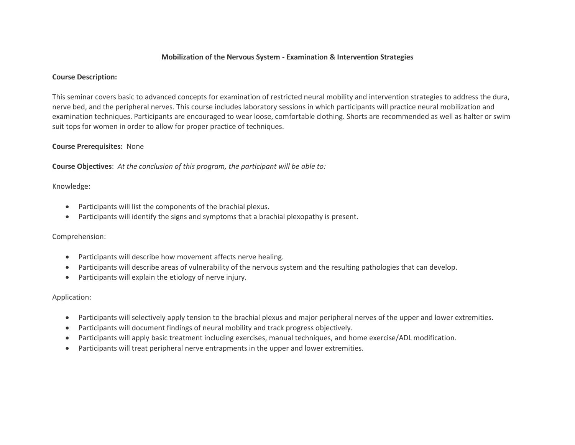### **Mobilization of the Nervous System - Examination & Intervention Strategies**

#### **Course Description:**

This seminar covers basic to advanced concepts for examination of restricted neural mobility and intervention strategies to address the dura, nerve bed, and the peripheral nerves. This course includes laboratory sessions in which participants will practice neural mobilization and examination techniques. Participants are encouraged to wear loose, comfortable clothing. Shorts are recommended as well as halter or swim suit tops for women in order to allow for proper practice of techniques.

#### **Course Prerequisites:** None

**Course Objectives**: *At the conclusion of this program, the participant will be able to:*

### Knowledge:

- Participants will list the components of the brachial plexus.
- Participants will identify the signs and symptoms that a brachial plexopathy is present.

### Comprehension:

- Participants will describe how movement affects nerve healing.
- Participants will describe areas of vulnerability of the nervous system and the resulting pathologies that can develop.
- Participants will explain the etiology of nerve injury.

### Application:

- Participants will selectively apply tension to the brachial plexus and major peripheral nerves of the upper and lower extremities.
- Participants will document findings of neural mobility and track progress objectively.
- Participants will apply basic treatment including exercises, manual techniques, and home exercise/ADL modification.
- Participants will treat peripheral nerve entrapments in the upper and lower extremities.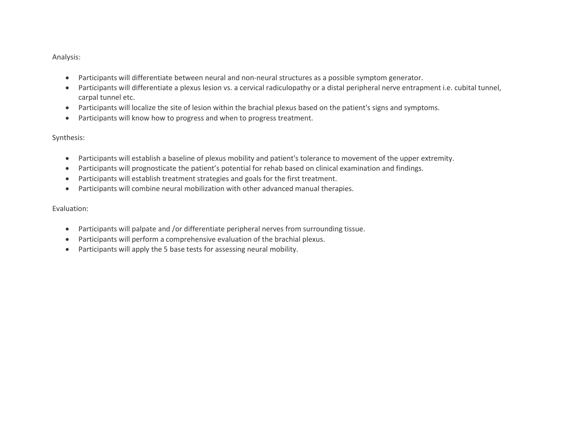Analysis:

- Participants will differentiate between neural and non-neural structures as a possible symptom generator.
- Participants will differentiate a plexus lesion vs. a cervical radiculopathy or a distal peripheral nerve entrapment i.e. cubital tunnel, carpal tunnel etc.
- Participants will localize the site of lesion within the brachial plexus based on the patient's signs and symptoms.
- Participants will know how to progress and when to progress treatment.

Synthesis:

- Participants will establish a baseline of plexus mobility and patient's tolerance to movement of the upper extremity.
- Participants will prognosticate the patient's potential for rehab based on clinical examination and findings.
- Participants will establish treatment strategies and goals for the first treatment.
- Participants will combine neural mobilization with other advanced manual therapies.

Evaluation:

- Participants will palpate and /or differentiate peripheral nerves from surrounding tissue.
- Participants will perform a comprehensive evaluation of the brachial plexus.
- Participants will apply the 5 base tests for assessing neural mobility.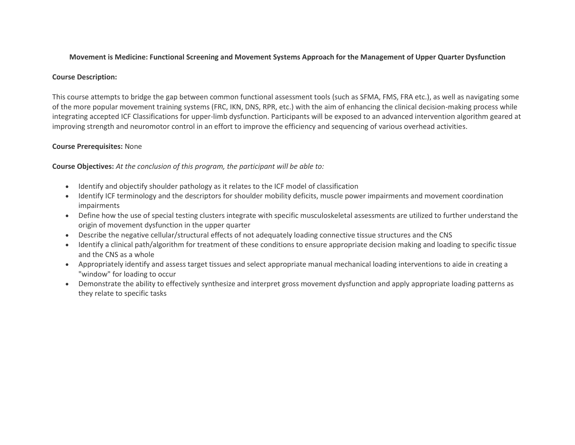# **Movement is Medicine: Functional Screening and Movement Systems Approach for the Management of Upper Quarter Dysfunction**

# **Course Description:**

This course attempts to bridge the gap between common functional assessment tools (such as SFMA, FMS, FRA etc.), as well as navigating some of the more popular movement training systems (FRC, IKN, DNS, RPR, etc.) with the aim of enhancing the clinical decision-making process while integrating accepted ICF Classifications for upper-limb dysfunction. Participants will be exposed to an advanced intervention algorithm geared at improving strength and neuromotor control in an effort to improve the efficiency and sequencing of various overhead activities.

# **Course Prerequisites:** None

- Identify and objectify shoulder pathology as it relates to the ICF model of classification
- Identify ICF terminology and the descriptors for shoulder mobility deficits, muscle power impairments and movement coordination impairments
- Define how the use of special testing clusters integrate with specific musculoskeletal assessments are utilized to further understand the origin of movement dysfunction in the upper quarter
- Describe the negative cellular/structural effects of not adequately loading connective tissue structures and the CNS
- Identify a clinical path/algorithm for treatment of these conditions to ensure appropriate decision making and loading to specific tissue and the CNS as a whole
- Appropriately identify and assess target tissues and select appropriate manual mechanical loading interventions to aide in creating a "window" for loading to occur
- Demonstrate the ability to effectively synthesize and interpret gross movement dysfunction and apply appropriate loading patterns as they relate to specific tasks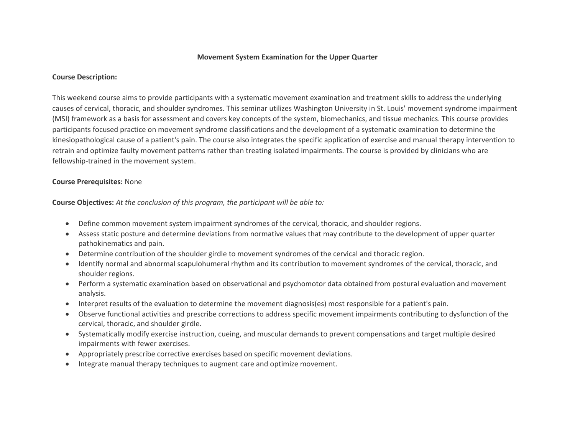#### **Movement System Examination for the Upper Quarter**

#### **Course Description:**

This weekend course aims to provide participants with a systematic movement examination and treatment skills to address the underlying causes of cervical, thoracic, and shoulder syndromes. This seminar utilizes Washington University in St. Louis' movement syndrome impairment (MSI) framework as a basis for assessment and covers key concepts of the system, biomechanics, and tissue mechanics. This course provides participants focused practice on movement syndrome classifications and the development of a systematic examination to determine the kinesiopathological cause of a patient's pain. The course also integrates the specific application of exercise and manual therapy intervention to retrain and optimize faulty movement patterns rather than treating isolated impairments. The course is provided by clinicians who are fellowship-trained in the movement system.

### **Course Prerequisites:** None

- Define common movement system impairment syndromes of the cervical, thoracic, and shoulder regions.
- Assess static posture and determine deviations from normative values that may contribute to the development of upper quarter pathokinematics and pain.
- Determine contribution of the shoulder girdle to movement syndromes of the cervical and thoracic region.
- Identify normal and abnormal scapulohumeral rhythm and its contribution to movement syndromes of the cervical, thoracic, and shoulder regions.
- Perform a systematic examination based on observational and psychomotor data obtained from postural evaluation and movement analysis.
- Interpret results of the evaluation to determine the movement diagnosis(es) most responsible for a patient's pain.
- Observe functional activities and prescribe corrections to address specific movement impairments contributing to dysfunction of the cervical, thoracic, and shoulder girdle.
- Systematically modify exercise instruction, cueing, and muscular demands to prevent compensations and target multiple desired impairments with fewer exercises.
- Appropriately prescribe corrective exercises based on specific movement deviations.
- Integrate manual therapy techniques to augment care and optimize movement.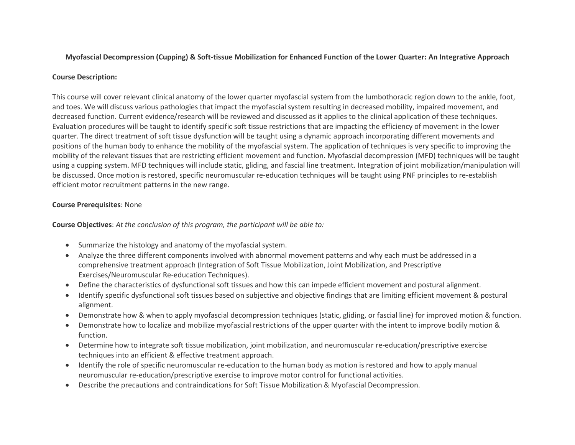# **Myofascial Decompression (Cupping) & Soft-tissue Mobilization for Enhanced Function of the Lower Quarter: An Integrative Approach**

# **Course Description:**

This course will cover relevant clinical anatomy of the lower quarter myofascial system from the lumbothoracic region down to the ankle, foot, and toes. We will discuss various pathologies that impact the myofascial system resulting in decreased mobility, impaired movement, and decreased function. Current evidence/research will be reviewed and discussed as it applies to the clinical application of these techniques. Evaluation procedures will be taught to identify specific soft tissue restrictions that are impacting the efficiency of movement in the lower quarter. The direct treatment of soft tissue dysfunction will be taught using a dynamic approach incorporating different movements and positions of the human body to enhance the mobility of the myofascial system. The application of techniques is very specific to improving the mobility of the relevant tissues that are restricting efficient movement and function. Myofascial decompression (MFD) techniques will be taught using a cupping system. MFD techniques will include static, gliding, and fascial line treatment. Integration of joint mobilization/manipulation will be discussed. Once motion is restored, specific neuromuscular re-education techniques will be taught using PNF principles to re-establish efficient motor recruitment patterns in the new range.

# **Course Prerequisites**: None

- Summarize the histology and anatomy of the myofascial system.
- Analyze the three different components involved with abnormal movement patterns and why each must be addressed in a comprehensive treatment approach (Integration of Soft Tissue Mobilization, Joint Mobilization, and Prescriptive Exercises/Neuromuscular Re-education Techniques).
- Define the characteristics of dysfunctional soft tissues and how this can impede efficient movement and postural alignment.
- Identify specific dysfunctional soft tissues based on subjective and objective findings that are limiting efficient movement & postural alignment.
- Demonstrate how & when to apply myofascial decompression techniques (static, gliding, or fascial line) for improved motion & function.
- Demonstrate how to localize and mobilize myofascial restrictions of the upper quarter with the intent to improve bodily motion & function.
- Determine how to integrate soft tissue mobilization, joint mobilization, and neuromuscular re-education/prescriptive exercise techniques into an efficient & effective treatment approach.
- Identify the role of specific neuromuscular re-education to the human body as motion is restored and how to apply manual neuromuscular re-education/prescriptive exercise to improve motor control for functional activities.
- Describe the precautions and contraindications for Soft Tissue Mobilization & Myofascial Decompression.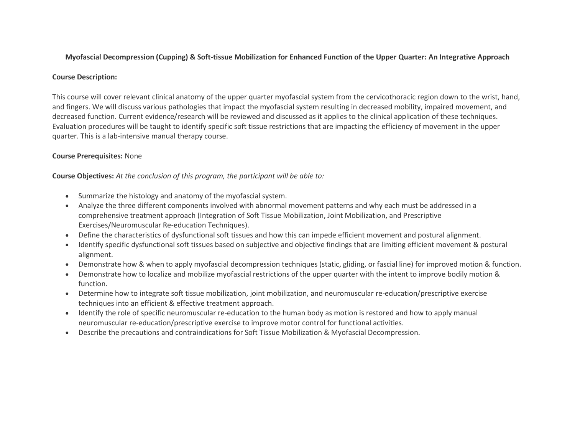# **Myofascial Decompression (Cupping) & Soft-tissue Mobilization for Enhanced Function of the Upper Quarter: An Integrative Approach**

## **Course Description:**

This course will cover relevant clinical anatomy of the upper quarter myofascial system from the cervicothoracic region down to the wrist, hand, and fingers. We will discuss various pathologies that impact the myofascial system resulting in decreased mobility, impaired movement, and decreased function. Current evidence/research will be reviewed and discussed as it applies to the clinical application of these techniques. Evaluation procedures will be taught to identify specific soft tissue restrictions that are impacting the efficiency of movement in the upper quarter. This is a lab-intensive manual therapy course.

# **Course Prerequisites:** None

- Summarize the histology and anatomy of the myofascial system.
- Analyze the three different components involved with abnormal movement patterns and why each must be addressed in a comprehensive treatment approach (Integration of Soft Tissue Mobilization, Joint Mobilization, and Prescriptive Exercises/Neuromuscular Re-education Techniques).
- Define the characteristics of dysfunctional soft tissues and how this can impede efficient movement and postural alignment.
- Identify specific dysfunctional soft tissues based on subjective and objective findings that are limiting efficient movement & postural alignment.
- Demonstrate how & when to apply myofascial decompression techniques (static, gliding, or fascial line) for improved motion & function.
- Demonstrate how to localize and mobilize myofascial restrictions of the upper quarter with the intent to improve bodily motion & function.
- Determine how to integrate soft tissue mobilization, joint mobilization, and neuromuscular re-education/prescriptive exercise techniques into an efficient & effective treatment approach.
- Identify the role of specific neuromuscular re-education to the human body as motion is restored and how to apply manual neuromuscular re-education/prescriptive exercise to improve motor control for functional activities.
- Describe the precautions and contraindications for Soft Tissue Mobilization & Myofascial Decompression.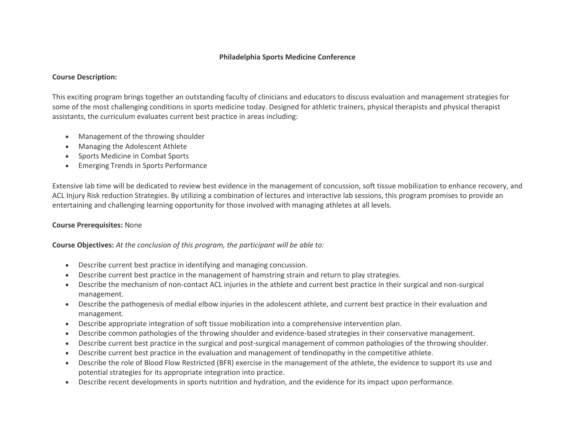## **Philadelphia Sports Medicine Conference**

#### **Course Description:**

This exciting program brings together an outstanding faculty of clinicians and educators to discuss evaluation and management strategies for some of the most challenging conditions in sports medicine today. Designed for athletic trainers, physical therapists and physical therapist assistants, the curriculum evaluates current best practice in areas including:

- Management of the throwing shoulder
- Managing the Adolescent Athlete
- Sports Medicine in Combat Sports
- Emerging Trends in Sports Performance

Extensive lab time will be dedicated to review best evidence in the management of concussion, soft tissue mobilization to enhance recovery, and ACL Injury Risk reduction Strategies. By utilizing a combination of lectures and interactive lab sessions, this program promises to provide an entertaining and challenging learning opportunity for those involved with managing athletes at all levels.

## **Course Prerequisites:** None

- Describe current best practice in identifying and managing concussion.
- Describe current best practice in the management of hamstring strain and return to play strategies.
- Describe the mechanism of non-contact ACL injuries in the athlete and current best practice in their surgical and non-surgical management.
- Describe the pathogenesis of medial elbow injuries in the adolescent athlete, and current best practice in their evaluation and management.
- Describe appropriate integration of soft tissue mobilization into a comprehensive intervention plan.
- Describe common pathologies of the throwing shoulder and evidence-based strategies in their conservative management.
- Describe current best practice in the surgical and post-surgical management of common pathologies of the throwing shoulder.
- Describe current best practice in the evaluation and management of tendinopathy in the competitive athlete.
- Describe the role of Blood Flow Restricted (BFR) exercise in the management of the athlete, the evidence to support its use and potential strategies for its appropriate integration into practice.
- Describe recent developments in sports nutrition and hydration, and the evidence for its impact upon performance.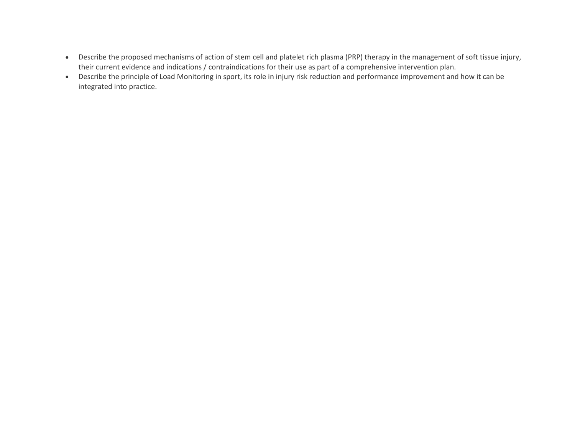- Describe the proposed mechanisms of action of stem cell and platelet rich plasma (PRP) therapy in the management of soft tissue injury, their current evidence and indications / contraindications for their use as part of a comprehensive intervention plan.
- Describe the principle of Load Monitoring in sport, its role in injury risk reduction and performance improvement and how it can be integrated into practice.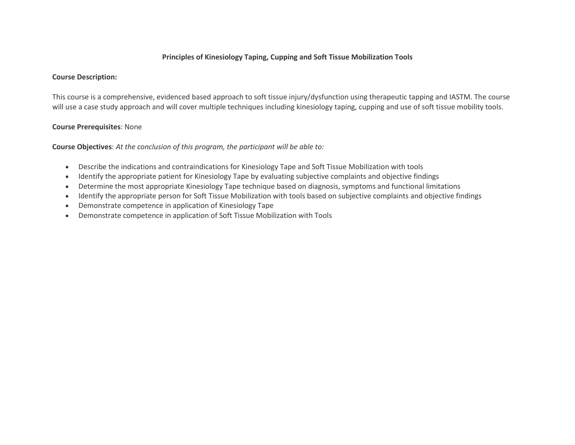# **Principles of Kinesiology Taping, Cupping and Soft Tissue Mobilization Tools**

### **Course Description:**

This course is a comprehensive, evidenced based approach to soft tissue injury/dysfunction using therapeutic tapping and IASTM. The course will use a case study approach and will cover multiple techniques including kinesiology taping, cupping and use of soft tissue mobility tools.

# **Course Prerequisites**: None

- Describe the indications and contraindications for Kinesiology Tape and Soft Tissue Mobilization with tools
- Identify the appropriate patient for Kinesiology Tape by evaluating subjective complaints and objective findings
- Determine the most appropriate Kinesiology Tape technique based on diagnosis, symptoms and functional limitations
- Identify the appropriate person for Soft Tissue Mobilization with tools based on subjective complaints and objective findings
- Demonstrate competence in application of Kinesiology Tape
- Demonstrate competence in application of Soft Tissue Mobilization with Tools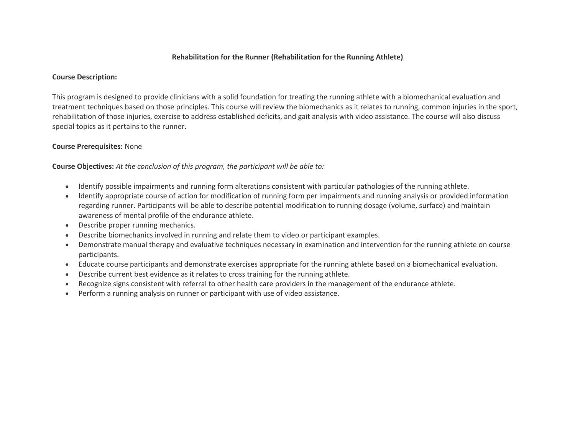## **Rehabilitation for the Runner (Rehabilitation for the Running Athlete)**

#### **Course Description:**

This program is designed to provide clinicians with a solid foundation for treating the running athlete with a biomechanical evaluation and treatment techniques based on those principles. This course will review the biomechanics as it relates to running, common injuries in the sport, rehabilitation of those injuries, exercise to address established deficits, and gait analysis with video assistance. The course will also discuss special topics as it pertains to the runner.

### **Course Prerequisites:** None

- Identify possible impairments and running form alterations consistent with particular pathologies of the running athlete.
- Identify appropriate course of action for modification of running form per impairments and running analysis or provided information regarding runner. Participants will be able to describe potential modification to running dosage (volume, surface) and maintain awareness of mental profile of the endurance athlete.
- Describe proper running mechanics.
- Describe biomechanics involved in running and relate them to video or participant examples.
- Demonstrate manual therapy and evaluative techniques necessary in examination and intervention for the running athlete on course participants.
- Educate course participants and demonstrate exercises appropriate for the running athlete based on a biomechanical evaluation.
- Describe current best evidence as it relates to cross training for the running athlete.
- Recognize signs consistent with referral to other health care providers in the management of the endurance athlete.
- Perform a running analysis on runner or participant with use of video assistance.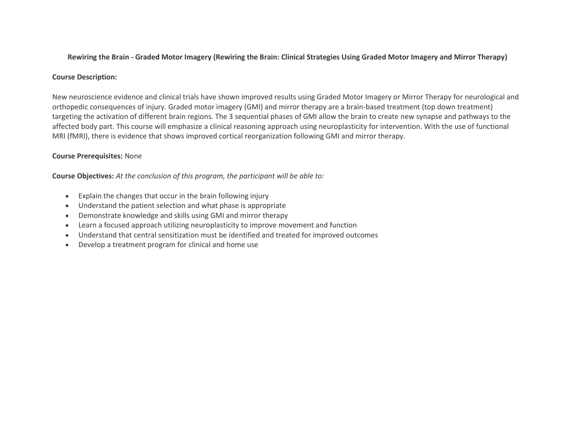# **Rewiring the Brain - Graded Motor Imagery (Rewiring the Brain: Clinical Strategies Using Graded Motor Imagery and Mirror Therapy)**

### **Course Description:**

New neuroscience evidence and clinical trials have shown improved results using Graded Motor Imagery or Mirror Therapy for neurological and orthopedic consequences of injury. Graded motor imagery (GMI) and mirror therapy are a brain-based treatment (top down treatment) targeting the activation of different brain regions. The 3 sequential phases of GMI allow the brain to create new synapse and pathways to the affected body part. This course will emphasize a clinical reasoning approach using neuroplasticity for intervention. With the use of functional MRI (fMRI), there is evidence that shows improved cortical reorganization following GMI and mirror therapy.

# **Course Prerequisites:** None

- Explain the changes that occur in the brain following injury
- Understand the patient selection and what phase is appropriate
- Demonstrate knowledge and skills using GMI and mirror therapy
- Learn a focused approach utilizing neuroplasticity to improve movement and function
- Understand that central sensitization must be identified and treated for improved outcomes
- Develop a treatment program for clinical and home use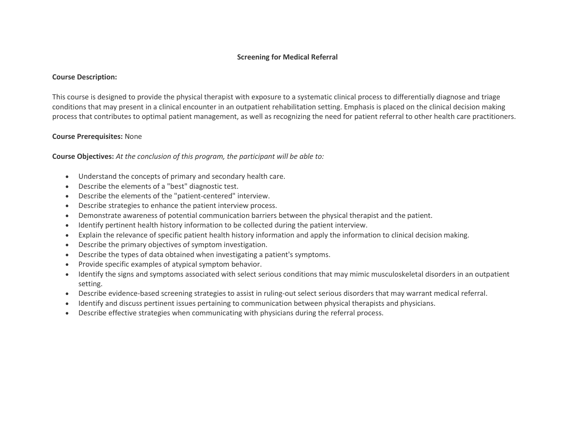# **Screening for Medical Referral**

#### **Course Description:**

This course is designed to provide the physical therapist with exposure to a systematic clinical process to differentially diagnose and triage conditions that may present in a clinical encounter in an outpatient rehabilitation setting. Emphasis is placed on the clinical decision making process that contributes to optimal patient management, as well as recognizing the need for patient referral to other health care practitioners.

### **Course Prerequisites:** None

- Understand the concepts of primary and secondary health care.
- Describe the elements of a "best" diagnostic test.
- Describe the elements of the "patient-centered" interview.
- Describe strategies to enhance the patient interview process.
- Demonstrate awareness of potential communication barriers between the physical therapist and the patient.
- Identify pertinent health history information to be collected during the patient interview.
- Explain the relevance of specific patient health history information and apply the information to clinical decision making.
- Describe the primary objectives of symptom investigation.
- Describe the types of data obtained when investigating a patient's symptoms.
- Provide specific examples of atypical symptom behavior.
- Identify the signs and symptoms associated with select serious conditions that may mimic musculoskeletal disorders in an outpatient setting.
- Describe evidence-based screening strategies to assist in ruling-out select serious disorders that may warrant medical referral.
- Identify and discuss pertinent issues pertaining to communication between physical therapists and physicians.
- Describe effective strategies when communicating with physicians during the referral process.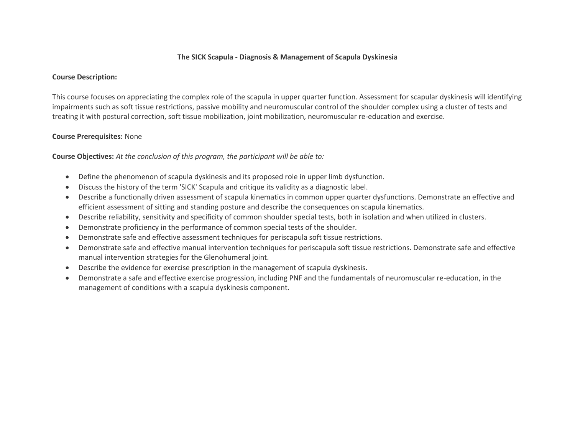# **The SICK Scapula - Diagnosis & Management of Scapula Dyskinesia**

#### **Course Description:**

This course focuses on appreciating the complex role of the scapula in upper quarter function. Assessment for scapular dyskinesis will identifying impairments such as soft tissue restrictions, passive mobility and neuromuscular control of the shoulder complex using a cluster of tests and treating it with postural correction, soft tissue mobilization, joint mobilization, neuromuscular re-education and exercise.

### **Course Prerequisites:** None

- Define the phenomenon of scapula dyskinesis and its proposed role in upper limb dysfunction.
- Discuss the history of the term 'SICK' Scapula and critique its validity as a diagnostic label.
- Describe a functionally driven assessment of scapula kinematics in common upper quarter dysfunctions. Demonstrate an effective and efficient assessment of sitting and standing posture and describe the consequences on scapula kinematics.
- Describe reliability, sensitivity and specificity of common shoulder special tests, both in isolation and when utilized in clusters.
- Demonstrate proficiency in the performance of common special tests of the shoulder.
- Demonstrate safe and effective assessment techniques for periscapula soft tissue restrictions.
- Demonstrate safe and effective manual intervention techniques for periscapula soft tissue restrictions. Demonstrate safe and effective manual intervention strategies for the Glenohumeral joint.
- Describe the evidence for exercise prescription in the management of scapula dyskinesis.
- Demonstrate a safe and effective exercise progression, including PNF and the fundamentals of neuromuscular re-education, in the management of conditions with a scapula dyskinesis component.